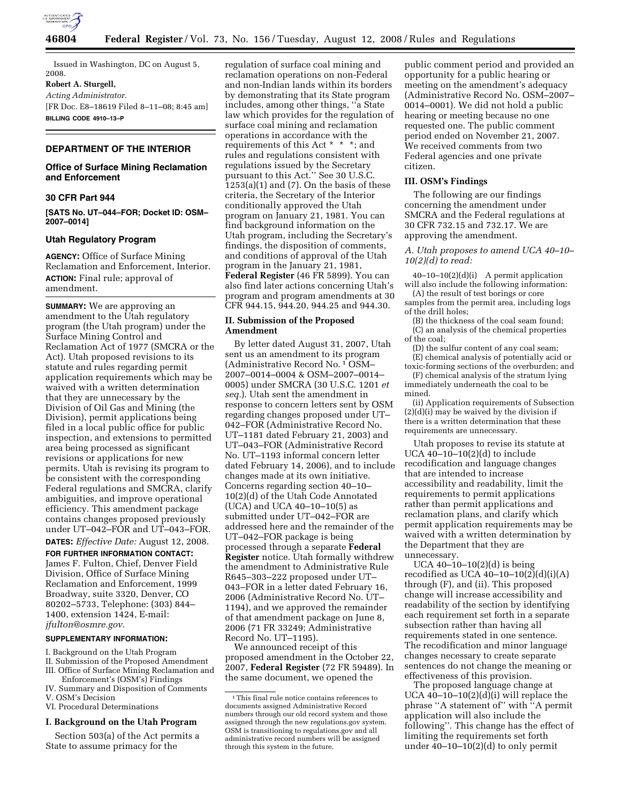

Issued in Washington, DC on August 5, 2008.

**Robert A. Sturgell,** 

*Acting Administrator.*  [FR Doc. E8–18619 Filed 8–11–08; 8:45 am] **BILLING CODE 4910–13–P** 

# **DEPARTMENT OF THE INTERIOR**

## **Office of Surface Mining Reclamation and Enforcement**

#### **30 CFR Part 944**

**[SATS No. UT–044–FOR; Docket ID: OSM– 2007–0014]** 

#### **Utah Regulatory Program**

**AGENCY:** Office of Surface Mining Reclamation and Enforcement, Interior. **ACTION:** Final rule; approval of amendment.

**SUMMARY:** We are approving an amendment to the Utah regulatory program (the Utah program) under the Surface Mining Control and Reclamation Act of 1977 (SMCRA or the Act). Utah proposed revisions to its statute and rules regarding permit application requirements which may be waived with a written determination that they are unnecessary by the Division of Oil Gas and Mining (the Division), permit applications being filed in a local public office for public inspection, and extensions to permitted area being processed as significant revisions or applications for new permits. Utah is revising its program to be consistent with the corresponding Federal regulations and SMCRA, clarify ambiguities, and improve operational efficiency. This amendment package contains changes proposed previously under UT–042–FOR and UT–043–FOR.

#### **DATES:** *Effective Date:* August 12, 2008.

**FOR FURTHER INFORMATION CONTACT:**  James F. Fulton, Chief, Denver Field Division, Office of Surface Mining Reclamation and Enforcement, 1999 Broadway, suite 3320, Denver, CO 80202–5733, Telephone: (303) 844– 1400, extension 1424, E-mail: *jfulton@osmre.gov.* 

#### **SUPPLEMENTARY INFORMATION:**

- I. Background on the Utah Program
- II. Submission of the Proposed Amendment III. Office of Surface Mining Reclamation and
- Enforcement's (OSM's) Findings
- IV. Summary and Disposition of Comments V. OSM's Decision
- VI. Procedural Determinations

#### **I. Background on the Utah Program**

Section 503(a) of the Act permits a State to assume primacy for the

regulation of surface coal mining and reclamation operations on non-Federal and non-Indian lands within its borders by demonstrating that its State program includes, among other things, ''a State law which provides for the regulation of surface coal mining and reclamation operations in accordance with the requirements of this Act \* \* \*; and rules and regulations consistent with regulations issued by the Secretary pursuant to this Act.'' See 30 U.S.C.  $1253(a)(1)$  and  $(7)$ . On the basis of these criteria, the Secretary of the Interior conditionally approved the Utah program on January 21, 1981. You can find background information on the Utah program, including the Secretary's findings, the disposition of comments, and conditions of approval of the Utah program in the January 21, 1981, **Federal Register** (46 FR 5899). You can also find later actions concerning Utah's program and program amendments at 30 CFR 944.15, 944.20, 944.25 and 944.30.

#### **II. Submission of the Proposed Amendment**

By letter dated August 31, 2007, Utah sent us an amendment to its program (Administrative Record No. 1 OSM– 2007–0014–0004 & OSM–2007–0014– 0005) under SMCRA (30 U.S.C. 1201 *et seq.*). Utah sent the amendment in response to concern letters sent by OSM regarding changes proposed under UT– 042–FOR (Administrative Record No. UT–1181 dated February 21, 2003) and UT–043–FOR (Administrative Record No. UT–1193 informal concern letter dated February 14, 2006), and to include changes made at its own initiative. Concerns regarding section 40–10– 10(2)(d) of the Utah Code Annotated (UCA) and UCA 40–10–10(5) as submitted under UT–042–FOR are addressed here and the remainder of the UT–042–FOR package is being processed through a separate **Federal Register** notice. Utah formally withdrew the amendment to Administrative Rule R645–303–222 proposed under UT– 043–FOR in a letter dated February 16, 2006 (Administrative Record No. UT– 1194), and we approved the remainder of that amendment package on June 8, 2006 (71 FR 33249; Administrative Record No. UT–1195).

We announced receipt of this proposed amendment in the October 22, 2007, **Federal Register** (72 FR 59489). In the same document, we opened the

public comment period and provided an opportunity for a public hearing or meeting on the amendment's adequacy (Administrative Record No. OSM–2007– 0014–0001). We did not hold a public hearing or meeting because no one requested one. The public comment period ended on November 21, 2007. We received comments from two Federal agencies and one private citizen.

## **III. OSM's Findings**

The following are our findings concerning the amendment under SMCRA and the Federal regulations at 30 CFR 732.15 and 732.17. We are approving the amendment.

*A. Utah proposes to amend UCA 40–10– 10(2)(d) to read:* 

 $40-10-10(2)(d)(i)$  A permit application will also include the following information:

(A) the result of test borings or core samples from the permit area, including logs

of the drill holes; (B) the thickness of the coal seam found;

(C) an analysis of the chemical properties of the coal;

(D) the sulfur content of any coal seam; (E) chemical analysis of potentially acid or

toxic-forming sections of the overburden; and

(F) chemical analysis of the stratum lying immediately underneath the coal to be mined.

(ii) Application requirements of Subsection (2)(d)(i) may be waived by the division if there is a written determination that these requirements are unnecessary.

Utah proposes to revise its statute at UCA 40–10–10(2)(d) to include recodification and language changes that are intended to increase accessibility and readability, limit the requirements to permit applications rather than permit applications and reclamation plans, and clarify which permit application requirements may be waived with a written determination by the Department that they are unnecessary.

UCA 40–10–10(2)(d) is being recodified as UCA  $40-10-10(2)(d)(i)(A)$ through (F), and (ii). This proposed change will increase accessibility and readability of the section by identifying each requirement set forth in a separate subsection rather than having all requirements stated in one sentence. The recodification and minor language changes necessary to create separate sentences do not change the meaning or effectiveness of this provision.

The proposed language change at UCA  $40-10-10(2)(d)(i)$  will replace the phrase ''A statement of'' with ''A permit application will also include the following''. This change has the effect of limiting the requirements set forth under  $40-10-10(2)(d)$  to only permit

<sup>1</sup>This final rule notice contains references to documents assigned Administrative Record numbers through our old record system and those assigned through the new regulations.gov system. OSM is transitioning to regulations.gov and all administrative record numbers will be assigned through this system in the future.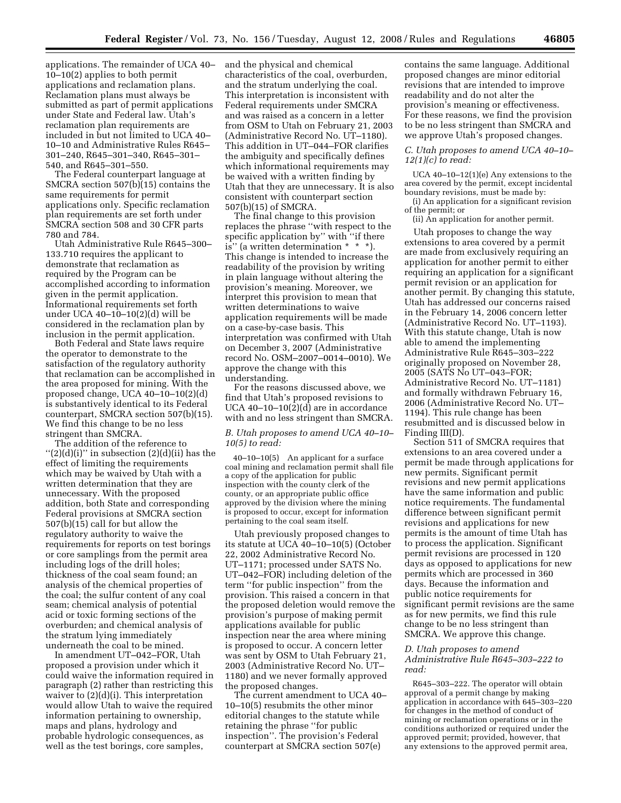applications. The remainder of UCA 40– 10–10(2) applies to both permit applications and reclamation plans. Reclamation plans must always be submitted as part of permit applications under State and Federal law. Utah's reclamation plan requirements are included in but not limited to UCA 40– 10–10 and Administrative Rules R645– 301–240, R645–301–340, R645–301– 540, and R645–301–550.

The Federal counterpart language at SMCRA section 507(b)(15) contains the same requirements for permit applications only. Specific reclamation plan requirements are set forth under SMCRA section 508 and 30 CFR parts 780 and 784.

Utah Administrative Rule R645–300– 133.710 requires the applicant to demonstrate that reclamation as required by the Program can be accomplished according to information given in the permit application. Informational requirements set forth under UCA 40–10–10(2)(d) will be considered in the reclamation plan by inclusion in the permit application.

Both Federal and State laws require the operator to demonstrate to the satisfaction of the regulatory authority that reclamation can be accomplished in the area proposed for mining. With the proposed change, UCA 40–10–10(2)(d) is substantively identical to its Federal counterpart, SMCRA section 507(b)(15). We find this change to be no less stringent than SMCRA.

The addition of the reference to  $''(2)(d)(i)''$  in subsection  $(2)(d)(ii)$  has the effect of limiting the requirements which may be waived by Utah with a written determination that they are unnecessary. With the proposed addition, both State and corresponding Federal provisions at SMCRA section 507(b)(15) call for but allow the regulatory authority to waive the requirements for reports on test borings or core samplings from the permit area including logs of the drill holes; thickness of the coal seam found; an analysis of the chemical properties of the coal; the sulfur content of any coal seam; chemical analysis of potential acid or toxic forming sections of the overburden; and chemical analysis of the stratum lying immediately underneath the coal to be mined.

In amendment UT–042–FOR, Utah proposed a provision under which it could waive the information required in paragraph (2) rather than restricting this waiver to (2)(d)(i). This interpretation would allow Utah to waive the required information pertaining to ownership, maps and plans, hydrology and probable hydrologic consequences, as well as the test borings, core samples,

and the physical and chemical characteristics of the coal, overburden, and the stratum underlying the coal. This interpretation is inconsistent with Federal requirements under SMCRA and was raised as a concern in a letter from OSM to Utah on February 21, 2003 (Administrative Record No. UT–1180). This addition in UT–044–FOR clarifies the ambiguity and specifically defines which informational requirements may be waived with a written finding by Utah that they are unnecessary. It is also consistent with counterpart section 507(b)(15) of SMCRA.

The final change to this provision replaces the phrase ''with respect to the specific application by'' with ''if there is'' (a written determination \* \* \*). This change is intended to increase the readability of the provision by writing in plain language without altering the provision's meaning. Moreover, we interpret this provision to mean that written determinations to waive application requirements will be made on a case-by-case basis. This interpretation was confirmed with Utah on December 3, 2007 (Administrative record No. OSM–2007–0014–0010). We approve the change with this understanding.

For the reasons discussed above, we find that Utah's proposed revisions to UCA 40–10–10(2)(d) are in accordance with and no less stringent than SMCRA.

## *B. Utah proposes to amend UCA 40–10– 10(5) to read:*

40–10–10(5) An applicant for a surface coal mining and reclamation permit shall file a copy of the application for public inspection with the county clerk of the county, or an appropriate public office approved by the division where the mining is proposed to occur, except for information pertaining to the coal seam itself.

Utah previously proposed changes to its statute at UCA 40–10–10(5) (October 22, 2002 Administrative Record No. UT–1171; processed under SATS No. UT–042–FOR) including deletion of the term ''for public inspection'' from the provision. This raised a concern in that the proposed deletion would remove the provision's purpose of making permit applications available for public inspection near the area where mining is proposed to occur. A concern letter was sent by OSM to Utah February 21, 2003 (Administrative Record No. UT– 1180) and we never formally approved the proposed changes.

The current amendment to UCA 40– 10–10(5) resubmits the other minor editorial changes to the statute while retaining the phrase ''for public inspection''. The provision's Federal counterpart at SMCRA section 507(e)

contains the same language. Additional proposed changes are minor editorial revisions that are intended to improve readability and do not alter the provision's meaning or effectiveness. For these reasons, we find the provision to be no less stringent than SMCRA and we approve Utah's proposed changes.

## *C. Utah proposes to amend UCA 40–10– 12(1)(c) to read:*

UCA 40–10–12(1)(e) Any extensions to the area covered by the permit, except incidental boundary revisions, must be made by: (i) An application for a significant revision

of the permit; or

(ii) An application for another permit.

Utah proposes to change the way extensions to area covered by a permit are made from exclusively requiring an application for another permit to either requiring an application for a significant permit revision or an application for another permit. By changing this statute, Utah has addressed our concerns raised in the February 14, 2006 concern letter (Administrative Record No. UT–1193). With this statute change, Utah is now able to amend the implementing Administrative Rule R645–303–222 originally proposed on November 28, 2005 (SATS No UT–043–FOR; Administrative Record No. UT–1181) and formally withdrawn February 16, 2006 (Administrative Record No. UT– 1194). This rule change has been resubmitted and is discussed below in Finding III(D).

Section 511 of SMCRA requires that extensions to an area covered under a permit be made through applications for new permits. Significant permit revisions and new permit applications have the same information and public notice requirements. The fundamental difference between significant permit revisions and applications for new permits is the amount of time Utah has to process the application. Significant permit revisions are processed in 120 days as opposed to applications for new permits which are processed in 360 days. Because the information and public notice requirements for significant permit revisions are the same as for new permits, we find this rule change to be no less stringent than SMCRA. We approve this change.

## *D. Utah proposes to amend Administrative Rule R645–303–222 to read:*

R645–303–222. The operator will obtain approval of a permit change by making application in accordance with 645–303–220 for changes in the method of conduct of mining or reclamation operations or in the conditions authorized or required under the approved permit; provided, however, that any extensions to the approved permit area,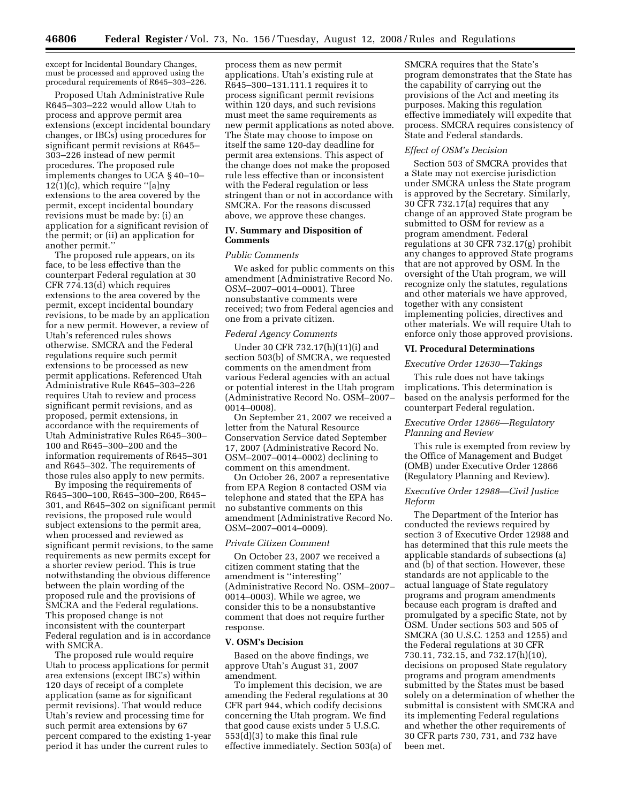except for Incidental Boundary Changes, must be processed and approved using the procedural requirements of R645–303–226.

Proposed Utah Administrative Rule R645–303–222 would allow Utah to process and approve permit area extensions (except incidental boundary changes, or IBCs) using procedures for significant permit revisions at R645– 303–226 instead of new permit procedures. The proposed rule implements changes to UCA § 40–10– 12(1)(c), which require ''[a]ny extensions to the area covered by the permit, except incidental boundary revisions must be made by: (i) an application for a significant revision of the permit; or (ii) an application for another permit.''

The proposed rule appears, on its face, to be less effective than the counterpart Federal regulation at 30 CFR 774.13(d) which requires extensions to the area covered by the permit, except incidental boundary revisions, to be made by an application for a new permit. However, a review of Utah's referenced rules shows otherwise. SMCRA and the Federal regulations require such permit extensions to be processed as new permit applications. Referenced Utah Administrative Rule R645–303–226 requires Utah to review and process significant permit revisions, and as proposed, permit extensions, in accordance with the requirements of Utah Administrative Rules R645–300– 100 and R645–300–200 and the information requirements of R645–301 and R645–302. The requirements of those rules also apply to new permits.

By imposing the requirements of R645–300–100, R645–300–200, R645– 301, and R645–302 on significant permit revisions, the proposed rule would subject extensions to the permit area, when processed and reviewed as significant permit revisions, to the same requirements as new permits except for a shorter review period. This is true notwithstanding the obvious difference between the plain wording of the proposed rule and the provisions of SMCRA and the Federal regulations. This proposed change is not inconsistent with the counterpart Federal regulation and is in accordance with SMCRA.

The proposed rule would require Utah to process applications for permit area extensions (except IBC's) within 120 days of receipt of a complete application (same as for significant permit revisions). That would reduce Utah's review and processing time for such permit area extensions by 67 percent compared to the existing 1-year period it has under the current rules to

process them as new permit applications. Utah's existing rule at R645–300–131.111.1 requires it to process significant permit revisions within 120 days, and such revisions must meet the same requirements as new permit applications as noted above. The State may choose to impose on itself the same 120-day deadline for permit area extensions. This aspect of the change does not make the proposed rule less effective than or inconsistent with the Federal regulation or less stringent than or not in accordance with SMCRA. For the reasons discussed above, we approve these changes.

## **IV. Summary and Disposition of Comments**

#### *Public Comments*

We asked for public comments on this amendment (Administrative Record No. OSM–2007–0014–0001). Three nonsubstantive comments were received; two from Federal agencies and one from a private citizen.

#### *Federal Agency Comments*

Under 30 CFR 732.17(h)(11)(i) and section 503(b) of SMCRA, we requested comments on the amendment from various Federal agencies with an actual or potential interest in the Utah program (Administrative Record No. OSM–2007– 0014–0008).

On September 21, 2007 we received a letter from the Natural Resource Conservation Service dated September 17, 2007 (Administrative Record No. OSM–2007–0014–0002) declining to comment on this amendment.

On October 26, 2007 a representative from EPA Region 8 contacted OSM via telephone and stated that the EPA has no substantive comments on this amendment (Administrative Record No. OSM–2007–0014–0009).

### *Private Citizen Comment*

On October 23, 2007 we received a citizen comment stating that the amendment is ''interesting'' (Administrative Record No. OSM–2007– 0014–0003). While we agree, we consider this to be a nonsubstantive comment that does not require further response.

#### **V. OSM's Decision**

Based on the above findings, we approve Utah's August 31, 2007 amendment.

To implement this decision, we are amending the Federal regulations at 30 CFR part 944, which codify decisions concerning the Utah program. We find that good cause exists under 5 U.S.C. 553(d)(3) to make this final rule effective immediately. Section 503(a) of

SMCRA requires that the State's program demonstrates that the State has the capability of carrying out the provisions of the Act and meeting its purposes. Making this regulation effective immediately will expedite that process. SMCRA requires consistency of State and Federal standards.

## *Effect of OSM's Decision*

Section 503 of SMCRA provides that a State may not exercise jurisdiction under SMCRA unless the State program is approved by the Secretary. Similarly, 30 CFR 732.17(a) requires that any change of an approved State program be submitted to OSM for review as a program amendment. Federal regulations at 30 CFR 732.17(g) prohibit any changes to approved State programs that are not approved by OSM. In the oversight of the Utah program, we will recognize only the statutes, regulations and other materials we have approved, together with any consistent implementing policies, directives and other materials. We will require Utah to enforce only those approved provisions.

### **VI. Procedural Determinations**

## *Executive Order 12630—Takings*

This rule does not have takings implications. This determination is based on the analysis performed for the counterpart Federal regulation.

# *Executive Order 12866—Regulatory Planning and Review*

This rule is exempted from review by the Office of Management and Budget (OMB) under Executive Order 12866 (Regulatory Planning and Review).

# *Executive Order 12988—Civil Justice Reform*

The Department of the Interior has conducted the reviews required by section 3 of Executive Order 12988 and has determined that this rule meets the applicable standards of subsections (a) and (b) of that section. However, these standards are not applicable to the actual language of State regulatory programs and program amendments because each program is drafted and promulgated by a specific State, not by OSM. Under sections 503 and 505 of SMCRA (30 U.S.C. 1253 and 1255) and the Federal regulations at 30 CFR 730.11, 732.15, and 732.17(h)(10), decisions on proposed State regulatory programs and program amendments submitted by the States must be based solely on a determination of whether the submittal is consistent with SMCRA and its implementing Federal regulations and whether the other requirements of 30 CFR parts 730, 731, and 732 have been met.